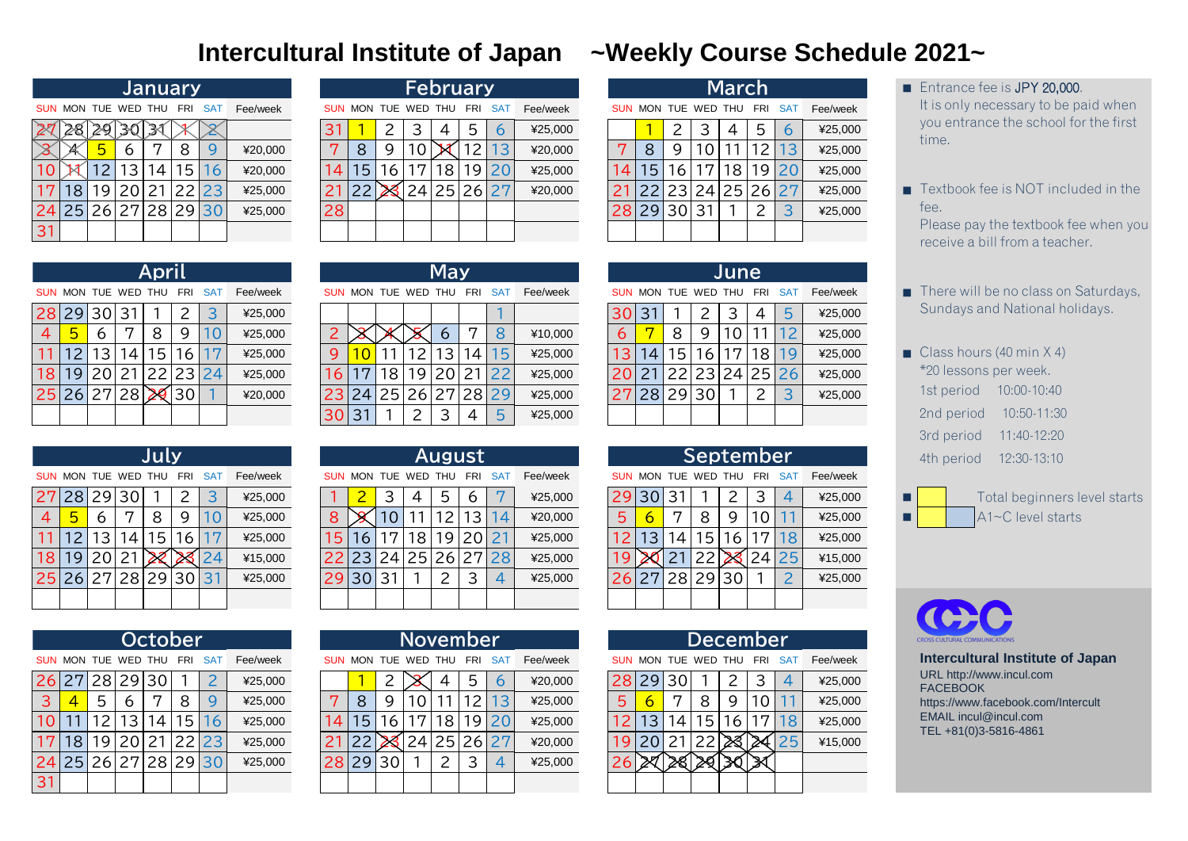|                |         |                 |          | <b>January</b>      |     |      |          |            |            |   | February    |    |     |           |          |            |                 |                 |                | <b>March</b> |              |                  |          |  |
|----------------|---------|-----------------|----------|---------------------|-----|------|----------|------------|------------|---|-------------|----|-----|-----------|----------|------------|-----------------|-----------------|----------------|--------------|--------------|------------------|----------|--|
|                |         |                 |          | SUN MON TUE WED THU | FRI | SAT  | Fee/week | <b>SUN</b> | <b>MON</b> |   | TUE WED THU |    | FRI | <b>SA</b> | Fee/week | <b>SUN</b> | MON TUE WED THU |                 |                |              | - FRI        | -SA <sup>-</sup> | Fee/week |  |
| $\cancel{27}$  | 28      | 29 <sub>1</sub> | 30       | $\mathbb{R}$        |     |      |          |            |            | ⌒ |             |    | 5   | h         | ¥25,000  |            |                 |                 | ာ              | 4            | b.           | 6                | ¥25,000  |  |
|                |         |                 | $\sigma$ | $\overline{ }$      | 8   |      | ¥20,000  | 7          | 8          | 9 | O           | ÞИ |     | 3         | ¥20,000  |            |                 | Q               | $\overline{O}$ |              | $\mathsf{2}$ | 3                | ¥25,000  |  |
| $\overline{0}$ |         | $\mathcal{D}$   | 3        | 4                   | 15  | 16   | ¥20,000  | 14.        | 15         | 6 | 17          | 8  | 19  | 20        | ¥25,000  | 4          | 5               | 6               | ヮ              | 8            |              | 19 20            | ¥25,000  |  |
| 17             | 8       | 19              | 20       | 21                  | 22  | 23   | ¥25,000  |            | 22         |   | 24          | 25 | 26  | 77        | ¥20,000  |            |                 | 23              | 24             |              | 25 26 27     |                  | ¥25,000  |  |
|                | 24 25 1 | 26              |          | 27 28               |     | 2930 | ¥25,000  | 28         |            |   |             |    |     |           |          | 281        | 29              | 30 <sub>1</sub> | 31             |              |              | <b>Q</b>         | ¥25,000  |  |
| 31             |         |                 |          |                     |     |      |          |            |            |   |             |    |     |           |          |            |                 |                 |                |              |              |                  |          |  |

|    |                     |   |          | <b>January</b> |            |          |
|----|---------------------|---|----------|----------------|------------|----------|
|    | SUN MON TUE WED THU |   |          | FRI            | <b>SAT</b> | Fee/week |
|    |                     |   |          |                |            |          |
|    |                     | 5 | 6        | 8              |            | ¥20,000  |
| 10 |                     |   | 12 13 14 | 15             | 16         | ¥20,000  |
| 17 | 18                  |   |          | 19 20 21 22 23 |            | ¥25,000  |
| 24 | 25 26 27 28 29      |   |          |                | 30         | ¥25,000  |
|    |                     |   |          |                |            |          |

|              |    |                    |    |                     |                |    |          | 30             | 31              |                 | 2 <sup>1</sup>       | $\mathcal{S}$   | 4               | 5 <sup>1</sup>  | ¥25,000  |                |                 |                     |                 |       |                 |      |          |   | 2nd period |  | 10:50-11:30       |  |
|--------------|----|--------------------|----|---------------------|----------------|----|----------|----------------|-----------------|-----------------|----------------------|-----------------|-----------------|-----------------|----------|----------------|-----------------|---------------------|-----------------|-------|-----------------|------|----------|---|------------|--|-------------------|--|
|              |    |                    |    |                     |                |    |          |                |                 |                 |                      |                 |                 |                 |          |                |                 |                     |                 |       |                 |      |          |   | 3rd period |  | 11:40-12:20       |  |
|              |    |                    |    | July                |                |    |          |                |                 |                 |                      |                 | <b>August</b>   |                 |          |                |                 |                     |                 |       | September       |      |          |   | 4th period |  | 12:30-13:10       |  |
|              |    | UN MON TUE WED THU |    |                     | FRI SAT        |    | Fee/week |                |                 |                 | SUN MON TUE WED THU  |                 | FRI             | SAT             | Fee/week |                |                 | SUN MON TUE WED THU |                 |       | FRI             | - SA | Fee/week |   |            |  |                   |  |
|              |    | 7 28 29 30         |    |                     | $\overline{2}$ | 3  | ¥25,000  |                |                 |                 | 4                    | 5               | 6               |                 | ¥25,000  | 29 30          |                 | 31                  |                 |       |                 |      | ¥25,000  | ■ |            |  | Total beginners I |  |
| 4            |    | 6                  |    | 8                   | 9              | 10 | ¥25,000  | 8              |                 | 10              |                      | 12 <sub>1</sub> | 13 <sup>1</sup> | 14 <sub>1</sub> | ¥20,000  | 5 <sup>1</sup> |                 |                     | 8               | 9     | 10 <sub>l</sub> |      | ¥25,000  |   |            |  | A1~C level starts |  |
|              | 12 | 13                 | 14 | 15                  | 16             |    | ¥25,000  | 5 <sup>1</sup> | 16 <sup>1</sup> | 17 <sub>l</sub> | 18 <sup>1</sup>      |                 | 19 20 21        |                 | ¥25,000  |                | 13 <sub>1</sub> | 14 <sub>1</sub>     | 15 <sup>1</sup> | 161   | 17              |      | ¥25,000  |   |            |  |                   |  |
| $\mathsf{8}$ |    | 19 20 21           |    |                     |                |    | ¥15,000  |                |                 |                 | 22 23 24 25 26 27 28 |                 |                 |                 | ¥25,000  |                |                 |                     |                 | 22 23 | $\frac{24}{25}$ |      | ¥15,000  |   |            |  |                   |  |
|              |    |                    |    | 5 26 27 28 29 30 31 |                |    | ¥25,000  |                |                 | 29 30 31        |                      |                 | 3               | 4               | ¥25,000  | 26             |                 | 27 28 29 30         |                 |       |                 |      | ¥25,000  |   |            |  |                   |  |
|              |    |                    |    |                     |                |    |          |                |                 |                 |                      |                 |                 |                 |          |                |                 |                     |                 |       |                 |      |          |   |            |  |                   |  |

|    |            |  | December                    |         |            |          |
|----|------------|--|-----------------------------|---------|------------|----------|
|    |            |  | SUN MON TUE WED THU FRI     |         | <b>SAT</b> | Fee/week |
|    | 28 29 30   |  | ¥25,000                     |         |            |          |
| 5  | 6          |  |                             | ¥25,000 |            |          |
|    |            |  | 12   13   14   15   16   17 |         | 18         | ¥25,000  |
|    | 20 21 22 2 |  |                             |         | 25         | ¥15,000  |
| 26 |            |  |                             |         |            |          |
|    |            |  |                             |         |            |          |

|    |                     |          | April           |            |            |          |
|----|---------------------|----------|-----------------|------------|------------|----------|
|    | SUN MON TUE WED THU |          |                 | <b>FRI</b> | <b>SAT</b> | Fee/week |
|    | 28 29 30 31         |          |                 | 2          | 3          | ¥25,000  |
|    | 5                   | 6        | 8               | Q,         |            | ¥25,000  |
| 11 |                     | 12 13 14 | 15 <sub>l</sub> | 16         |            | ¥25,000  |
| 18 | 19                  | 20       | 21 22 23        |            | 24         | ¥25,000  |
|    | 25 26 27 28         |          |                 | 30         |            | ¥20,000  |
|    |                     |          |                 |            |            |          |

|    |                     |                 |    | July            |            |            |          |
|----|---------------------|-----------------|----|-----------------|------------|------------|----------|
|    | SUN MON TUE WED THU |                 |    |                 | <b>FRI</b> | <b>SAT</b> | Fee/week |
| 27 |                     | 28 29 30        |    |                 | 2          | 3          | ¥25,000  |
| 4  | 5                   | 6               |    | 8               | g          | 10         | ¥25,000  |
| 11 | 12 <sub>1</sub>     | 13 <sup>1</sup> | 14 | 15 <sub>l</sub> | 16         | 17         | ¥25,000  |
| 18 | 19 <sup>1</sup>     | 20              | 21 |                 |            | 24         | ¥15,000  |
|    | 25 26 27 28 29 30   |                 |    |                 |            | 31         | ¥25,000  |
|    |                     |                 |    |                 |            |            |          |





|    |                     |              |    |   | <b>January</b> |            |          |    |    |   | February        |       |       |            |          |     |    |     |                 | <b>March</b> |     |            |          |
|----|---------------------|--------------|----|---|----------------|------------|----------|----|----|---|-----------------|-------|-------|------------|----------|-----|----|-----|-----------------|--------------|-----|------------|----------|
|    | SUN MON TUE WED THU |              |    |   | FRI            | <b>SAT</b> | Fee/week |    |    |   | SUN MON TUE WED | THU   | FRI   | <b>SAT</b> | Fee/week |     |    |     | MON TUE WED THU |              | FRI | <b>SAT</b> | Fee/week |
|    |                     |              |    |   |                |            |          | 3. |    |   |                 | 4     | 5     | 6          | ¥25,000  |     |    |     |                 |              | 5   | 6          | ¥25,000  |
|    |                     | $\mathbf{h}$ | 6  |   |                |            | ¥20,000  |    | 8  | 9 |                 | IХI   |       | 13         | ¥20,000  |     | 8  | Q   |                 |              |     | 13         | ¥25,000  |
| 10 |                     |              | З  | 4 | ڻ              | 16         | ¥20,000  |    | -5 | 6 | $\overline{ }$  |       | 9     |            | ¥25,000  | 14  | 5  | 6   | 57              | 8            | 9   | 20         | ¥25,000  |
| 17 | 8                   | 19           |    |   |                |            | ¥25,000  |    |    |   |                 | 24 25 | 26 27 |            | ¥20,000  |     |    | ′3∠ | 241             | 25 26 27     |     |            | ¥25,000  |
|    | 24 25               | 26           | 27 |   | 28 29 30       |            | ¥25,000  | 28 |    |   |                 |       |       |            |          | 281 | 29 | 30  | 31              |              |     | っ          | ¥25,000  |
| 31 |                     |              |    |   |                |            |          |    |    |   |                 |       |       |            |          |     |    |     |                 |              |     |            |          |

|                |       |                    |     | April      |             |            |          |     |     |                 |   | <b>May</b> |                |                |          |            |            |                    |                       | June |            |              |          |
|----------------|-------|--------------------|-----|------------|-------------|------------|----------|-----|-----|-----------------|---|------------|----------------|----------------|----------|------------|------------|--------------------|-----------------------|------|------------|--------------|----------|
|                |       | <b>SUN MON TUE</b> | WED | <b>THU</b> | FRI         | <b>SAT</b> | Fee/week | SUN |     | MON TUE WED THU |   |            | FRI            | <b>SAT</b>     | Fee/week | <b>SUN</b> | <b>MON</b> | TUE WED            |                       | THU  | <b>FRI</b> | <b>SA</b>    | Fee/week |
|                | 28 29 | 30 31              |     |            |             |            | ¥25,000  |     |     |                 |   |            |                |                |          | 301        | 3          |                    |                       | З    | 4          | $\mathsf{h}$ | ¥25,000  |
| $\overline{4}$ | 5     | 6                  | 57  | 8          | $\mathsf Q$ |            | ¥25,000  |     |     |                 |   | 6          | ヮ              |                | ¥10,000  | 6          |            | 8                  | 9                     |      |            |              | ¥25,000  |
|                |       | 3                  | , 4 | 5          | 6           |            | ¥25,000  | 9   |     |                 |   | 3          | $\overline{A}$ | $\overline{5}$ | ¥25,000  |            |            | 5                  | 6                     |      | 8          |              | ¥25,000  |
| 18             | 9     | 20                 |     | 221        | 23 24       |            | ¥25,000  | 16  |     | 18              | 9 | 20 21      |                |                | ¥25,000  | 20         |            | $\mathcal{D}$<br>◠ | -131<br>$\mathcal{P}$ | 24   | 25         | 26           | ¥25,000  |
|                |       | 25 26 27 28        |     |            | 30          |            | ¥20,000  | 23  | 34. | 25 26 27 28 29  |   |            |                |                | ¥25,000  | 27         | 28         | 29                 | 30                    |      |            |              | ¥25,000  |
|                |       |                    |     |            |             |            |          | 30  |     |                 |   |            | 4              |                | ¥25,000  |            |            |                    |                       |      |            |              |          |

| October                                   |                        |         |                 | <b>November</b> |                 |     |           |          |            |             |   |   | December   |                |     |          |
|-------------------------------------------|------------------------|---------|-----------------|-----------------|-----------------|-----|-----------|----------|------------|-------------|---|---|------------|----------------|-----|----------|
| SUN MON TUE WED THU<br>FRI.<br><b>SAT</b> | Fee/week<br><b>SUN</b> | MON TUE |                 | WED             | THU             | FRI | <b>SA</b> | Fee/week | SUN        | MON TUE WED |   |   | <b>THU</b> | - FRI          | -SA | Fee/week |
| 26 27<br>28<br>29<br>30                   | ¥25,000                |         |                 |                 |                 | 5   | 6         | ¥20,000  | <b>281</b> | 29 30       |   |   |            |                | 4   | ¥25,000  |
| 3 <sup>1</sup><br>Q<br>b<br>6             | ¥25,000                | 8       | g               |                 |                 |     | 3         | ¥25,000  | כ          |             | ⊓ | 8 | 9          | $\overline{0}$ |     | ¥25,000  |
| 10<br>З<br>16<br>$\overline{4}$<br>د.     | ¥25,000<br>14          | 5       | 6               |                 | 8               | Q   | 20        | ¥25,000  |            | З           | 4 | 5 | 6          | 7              | 18  | ¥25,000  |
| ٥١<br>17<br>8                             | ¥25,000                |         |                 | 241.            | 25 <sup>1</sup> | 26  | 27        | ¥20,000  | <u>g</u>   |             |   |   |            |                | 25  | ¥15,000  |
| 24 25 26<br>28 29 30<br>27                | ¥25,000                | 29      | 30 <sup>1</sup> |                 |                 |     | 4         | ¥25,000  |            |             |   |   |            |                |     |          |
| 31                                        |                        |         |                 |                 |                 |     |           |          |            |             |   |   |            |                |     |          |

|    |                     |    |     | July |            |                |          |  |             |                | <b>August</b> |       |      |          |          |             |                |      | September  |                   |            |          |
|----|---------------------|----|-----|------|------------|----------------|----------|--|-------------|----------------|---------------|-------|------|----------|----------|-------------|----------------|------|------------|-------------------|------------|----------|
|    | SUN MON TUE WED THU |    |     |      | <b>FRI</b> | <b>SAT</b>     | Fee/week |  | SUN MON TUE | WED            | <b>THU</b>    | FRI   | -SA1 | Fee/week | SUN      | MON TUE WED |                |      | <b>THU</b> | FRI               | <b>SAT</b> | Fee/week |
|    | 27 28               | 29 | 30  |      |            |                | ¥25,000  |  |             |                | 5             | O     |      | ¥25,000  |          | 301         |                |      |            |                   | 4          | ¥25,000  |
| 4  | $\mathbf{h}$        | b  |     |      |            |                | ¥25,000  |  |             |                |               |       | 14   | ¥20,000  |          |             |                |      | Q          | $\overline{0}$    |            | ¥25,000  |
|    |                     | 3  | 4   | 15   | 6          | 1 <sub>7</sub> | ¥25,000  |  |             | 8 <sup>1</sup> | 9             | 20    |      | ¥25,000  |          | 3           | $\overline{4}$ | 5    | 6          | $\mathbf{\nabla}$ | 18         | ¥25,000  |
| 18 | 9                   | 20 | 21  |      |            | $\overline{4}$ | ¥15,000  |  | 24          |                | 25 26         | 27 28 |      | ¥25,000  | <u>g</u> |             |                |      |            | 24 <sub>1</sub>   | 25         | ¥15,000  |
|    | 25 26               | 27 | 281 |      | 29 30 31   |                | ¥25,000  |  | J 31        |                |               |       |      | ¥25,000  |          |             | 28'            | 2930 |            |                   | ി          | ¥25,000  |
|    |                     |    |     |      |            |                |          |  |             |                |               |       |      |          |          |             |                |      |            |                   |            |          |

|    |                     |   |              | October    |                             |          |
|----|---------------------|---|--------------|------------|-----------------------------|----------|
|    | SUN MON TUE WED THU |   |              | <b>FRI</b> | <b>SAT</b>                  | Fee/week |
|    | 26 27               |   | 28 29 30     |            | $\mathcal{P}_{\mathcal{C}}$ | ¥25,000  |
| 3  | $\Delta$            | 5 | 6            | 8          | Q                           | ¥25,000  |
| 10 |                     |   | 12   13   14 | 15         | 16                          | ¥25,000  |
| 17 | 18                  |   | 19 20 21 22  |            | 23                          | ¥25,000  |
| 24 | 25 26 27 28 29      |   |              |            | 30                          | ¥25,000  |
|    |                     |   |              |            |                             |          |

**Intercultural Institute of Japan** URL http://www.incul.com **FACEBOOK** https://www.facebook.com/Intercult EMAIL incul@incul.com TEL +81(0)3-5816-4861

## **Intercultural Institute of Japan ~Weekly Course Schedule 2021~**